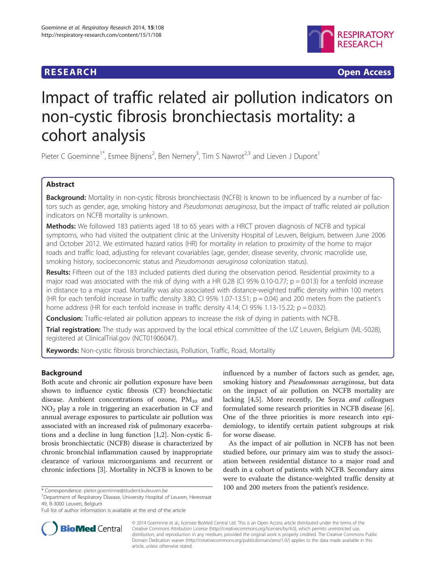## **RESEARCH RESEARCH** *CHECK CHECK CHECK CHECK CHECK CHECK CHECK CHECK CHECK CHECK CHECK CHECK CHECK CHECK CHECK CHECK CHECK CHECK CHECK CHECK CHECK CHECK CHECK CHECK CHECK CHECK CHECK CHECK CHECK CHECK CHECK CHECK CHECK*



# Impact of traffic related air pollution indicators on non-cystic fibrosis bronchiectasis mortality: a cohort analysis

Pieter C Goeminne<sup>1\*</sup>, Esmee Bijnens<sup>2</sup>, Ben Nemery<sup>3</sup>, Tim S Nawrot<sup>2,3</sup> and Lieven J Dupont<sup>1</sup>

## Abstract

Background: Mortality in non-cystic fibrosis bronchiectasis (NCFB) is known to be influenced by a number of factors such as gender, age, smoking history and Pseudomonas aeruginosa, but the impact of traffic related air pollution indicators on NCFB mortality is unknown.

Methods: We followed 183 patients aged 18 to 65 years with a HRCT proven diagnosis of NCFB and typical symptoms, who had visited the outpatient clinic at the University Hospital of Leuven, Belgium, between June 2006 and October 2012. We estimated hazard ratios (HR) for mortality in relation to proximity of the home to major roads and traffic load, adjusting for relevant covariables (age, gender, disease severity, chronic macrolide use, smoking history, socioeconomic status and Pseudomonas aeruginosa colonization status).

Results: Fifteen out of the 183 included patients died during the observation period. Residential proximity to a major road was associated with the risk of dying with a HR 0.28 (CI 95% 0.10-0.77;  $p = 0.013$ ) for a tenfold increase in distance to a major road. Mortality was also associated with distance-weighted traffic density within 100 meters (HR for each tenfold increase in traffic density 3.80; CI 95% 1.07-13.51;  $p = 0.04$ ) and 200 meters from the patient's home address (HR for each tenfold increase in traffic density 4.14; CI 95% 1.13-15.22;  $p = 0.032$ ).

**Conclusion:** Traffic-related air pollution appears to increase the risk of dying in patients with NCFB.

Trial registration: The study was approved by the local ethical committee of the UZ Leuven, Belgium (ML-5028), registered at ClinicalTrial.gov [\(NCT01906047](http://clinicaltrials.gov/show/NCT01906047)).

Keywords: Non-cystic fibrosis bronchiectasis, Pollution, Traffic, Road, Mortality

## Background

Both acute and chronic air pollution exposure have been shown to influence cystic fibrosis (CF) bronchiectatic disease. Ambient concentrations of ozone,  $PM_{10}$  and  $NO<sub>2</sub>$  play a role in triggering an exacerbation in CF and annual average exposures to particulate air pollution was associated with an increased risk of pulmonary exacerbations and a decline in lung function [\[1,2\]](#page-4-0). Non-cystic fibrosis bronchiectatic (NCFB) disease is characterized by chronic bronchial inflammation caused by inappropriate clearance of various microorganisms and recurrent or chronic infections [\[3](#page-4-0)]. Mortality in NCFB is known to be

<sup>1</sup>Department of Respiratory Disease, University Hospital of Leuven, Herestraat 49, B-3000 Leuven, Belgium

influenced by a number of factors such as gender, age, smoking history and Pseudomonas aeruginosa, but data on the impact of air pollution on NCFB mortality are lacking [[4,5\]](#page-4-0). More recently, De Soyza and colleagues formulated some research priorities in NCFB disease [\[6](#page-4-0)]. One of the three priorities is more research into epidemiology, to identify certain patient subgroups at risk for worse disease.

As the impact of air pollution in NCFB has not been studied before, our primary aim was to study the association between residential distance to a major road and death in a cohort of patients with NCFB. Secondary aims were to evaluate the distance-weighted traffic density at \* Correspondence: [pieter.goeminne@student.kuleuven.be](mailto:pieter.goeminne@student.kuleuven.be) 100 and 200 meters from the patient's residence.



© 2014 Goeminne et al.; licensee BioMed Central Ltd. This is an Open Access article distributed under the terms of the Creative Commons Attribution License (<http://creativecommons.org/licenses/by/4.0>), which permits unrestricted use, distribution, and reproduction in any medium, provided the original work is properly credited. The Creative Commons Public Domain Dedication waiver [\(http://creativecommons.org/publicdomain/zero/1.0/\)](http://creativecommons.org/publicdomain/zero/1.0/) applies to the data made available in this article, unless otherwise stated.

Full list of author information is available at the end of the article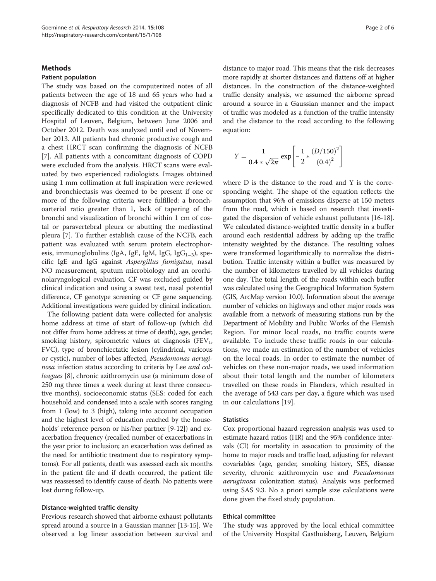#### **Methods**

#### Patient population

The study was based on the computerized notes of all patients between the age of 18 and 65 years who had a diagnosis of NCFB and had visited the outpatient clinic specifically dedicated to this condition at the University Hospital of Leuven, Belgium, between June 2006 and October 2012. Death was analyzed until end of November 2013. All patients had chronic productive cough and a chest HRCT scan confirming the diagnosis of NCFB [[7\]](#page-4-0). All patients with a concomitant diagnosis of COPD were excluded from the analysis. HRCT scans were evaluated by two experienced radiologists. Images obtained using 1 mm collimation at full inspiration were reviewed and bronchiectasis was deemed to be present if one or more of the following criteria were fulfilled: a bronchoarterial ratio greater than 1, lack of tapering of the bronchi and visualization of bronchi within 1 cm of costal or paravertebral pleura or abutting the mediastinal pleura [[7\]](#page-4-0). To further establish cause of the NCFB, each patient was evaluated with serum protein electrophoresis, immunoglobulins (IgA, IgE, IgM, IgG, IgG<sub>1–3</sub>), specific IgE and IgG against Aspergillus fumigatus, nasal NO measurement, sputum microbiology and an ororhinolaryngological evaluation. CF was excluded guided by clinical indication and using a sweat test, nasal potential difference, CF genotype screening or CF gene sequencing. Additional investigations were guided by clinical indication.

The following patient data were collected for analysis: home address at time of start of follow-up (which did not differ from home address at time of death), age, gender, smoking history, spirometric values at diagnosis  $(FEV<sub>1</sub>,$ FVC), type of bronchiectatic lesion (cylindrical, varicous or cystic), number of lobes affected, Pseudomonas aeruginosa infection status according to criteria by Lee and colleagues [\[8](#page-4-0)], chronic azithromycin use (a minimum dose of 250 mg three times a week during at least three consecutive months), socioeconomic status (SES: coded for each household and condensed into a scale with scores ranging from 1 (low) to 3 (high), taking into account occupation and the highest level of education reached by the households' reference person or his/her partner [[9-12\]](#page-4-0)) and exacerbation frequency (recalled number of exacerbations in the year prior to inclusion; an exacerbation was defined as the need for antibiotic treatment due to respiratory symptoms). For all patients, death was assessed each six months in the patient file and if death occurred, the patient file was reassessed to identify cause of death. No patients were lost during follow-up.

#### Distance-weighted traffic density

Previous research showed that airborne exhaust pollutants spread around a source in a Gaussian manner [[13](#page-4-0)-[15](#page-4-0)]. We observed a log linear association between survival and distance to major road. This means that the risk decreases more rapidly at shorter distances and flattens off at higher distances. In the construction of the distance-weighted traffic density analysis, we assumed the airborne spread around a source in a Gaussian manner and the impact of traffic was modeled as a function of the traffic intensity and the distance to the road according to the following equation:

$$
Y = \frac{1}{0.4 * \sqrt{2\pi}} \exp\left[-\frac{1}{2} * \frac{(D/150)^2}{(0.4)^2}\right]
$$

where D is the distance to the road and Y is the corresponding weight. The shape of the equation reflects the assumption that 96% of emissions disperse at 150 meters from the road, which is based on research that investigated the dispersion of vehicle exhaust pollutants [[16](#page-4-0)-[18](#page-4-0)]. We calculated distance-weighted traffic density in a buffer around each residential address by adding up the traffic intensity weighted by the distance. The resulting values were transformed logarithmically to normalize the distribution. Traffic intensity within a buffer was measured by the number of kilometers travelled by all vehicles during one day. The total length of the roads within each buffer was calculated using the Geographical Information System (GIS, ArcMap version 10.0). Information about the average number of vehicles on highways and other major roads was available from a network of measuring stations run by the Department of Mobility and Public Works of the Flemish Region. For minor local roads, no traffic counts were available. To include these traffic roads in our calculations, we made an estimation of the number of vehicles on the local roads. In order to estimate the number of vehicles on these non-major roads, we used information about their total length and the number of kilometers travelled on these roads in Flanders, which resulted in the average of 543 cars per day, a figure which was used in our calculations [[19\]](#page-4-0).

#### **Statistics**

Cox proportional hazard regression analysis was used to estimate hazard ratios (HR) and the 95% confidence intervals (CI) for mortality in assocation to proximity of the home to major roads and traffic load, adjusting for relevant covariables (age, gender, smoking history, SES, disease severity, chronic azithromycin use and Pseudomonas aeruginosa colonization status). Analysis was performed using SAS 9.3. No a priori sample size calculations were done given the fixed study population.

#### Ethical committee

The study was approved by the local ethical committee of the University Hospital Gasthuisberg, Leuven, Belgium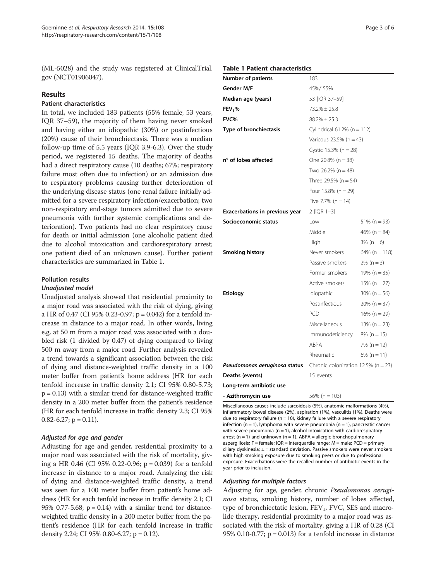(ML-5028) and the study was registered at ClinicalTrial. gov (NCT01906047).

#### Results

### Patient characteristics

In total, we included 183 patients (55% female; 53 years, IQR 37–59), the majority of them having never smoked and having either an idiopathic (30%) or postinfectious (20%) cause of their bronchiectasis. There was a median follow-up time of 5.5 years (IQR 3.9-6.3). Over the study period, we registered 15 deaths. The majority of deaths had a direct respiratory cause (10 deaths; 67%; respiratory failure most often due to infection) or an admission due to respiratory problems causing further deterioration of the underlying disease status (one renal failure initially admitted for a severe respiratory infection/exacerbation; two non-respiratory end-stage tumors admitted due to severe pneumonia with further systemic complications and deterioration). Two patients had no clear respiratory cause for death or initial admission (one alcoholic patient died due to alcohol intoxication and cardiorespiratory arrest; one patient died of an unknown cause). Further patient characteristics are summarized in Table 1.

## Pollution results

#### Unadjusted model

Unadjusted analysis showed that residential proximity to a major road was associated with the risk of dying, giving a HR of 0.47 (CI 95% 0.23-0.97; p = 0.042) for a tenfold increase in distance to a major road. In other words, living e.g. at 50 m from a major road was associated with a doubled risk (1 divided by 0.47) of dying compared to living 500 m away from a major road. Further analysis revealed a trend towards a significant association between the risk of dying and distance-weighted traffic density in a 100 meter buffer from patient's home address (HR for each tenfold increase in traffic density 2.1; CI 95% 0.80-5.73;  $p = 0.13$ ) with a similar trend for distance-weighted traffic density in a 200 meter buffer from the patient's residence (HR for each tenfold increase in traffic density 2.3; CI 95% 0.82-6.27;  $p = 0.11$ ).

#### Adjusted for age and gender

Adjusting for age and gender, residential proximity to a major road was associated with the risk of mortality, giving a HR 0.46 (CI 95% 0.22-0.96; p = 0.039) for a tenfold increase in distance to a major road. Analyzing the risk of dying and distance-weighted traffic density, a trend was seen for a 100 meter buffer from patient's home address (HR for each tenfold increase in traffic density 2.1; CI 95% 0.77-5.68;  $p = 0.14$ ) with a similar trend for distanceweighted traffic density in a 200 meter buffer from the patient's residence (HR for each tenfold increase in traffic density 2.24; CI 95% 0.80-6.27; p = 0.12).

#### Table 1 Patient characteristics

| Number of patients             | 183                                                                                |                  |
|--------------------------------|------------------------------------------------------------------------------------|------------------|
| Gender M/F                     | 45%/55%                                                                            |                  |
| Median age (years)             | 53 [IQR 37-59]                                                                     |                  |
| FEV <sub>1</sub> %             | $73.2\% \pm 25.8$                                                                  |                  |
| FVC%                           | $88.2\% \pm 25.3$                                                                  |                  |
| Type of bronchiectasis         | Cylindrical $61.2\%$ (n = 112)<br>Varicous 23.5% (n = 43)<br>Cystic 15.3% (n = 28) |                  |
|                                |                                                                                    |                  |
|                                |                                                                                    |                  |
| n° of lobes affected           | One $20.8\%$ (n = 38)<br>Two 26.2% ( $n = 48$ )<br>Three 29.5% (n = 54)            |                  |
|                                |                                                                                    |                  |
|                                |                                                                                    |                  |
|                                | Four $15.8\%$ (n = 29)                                                             |                  |
|                                | Five 7.7% ( $n = 14$ )                                                             |                  |
| Exacerbations in previous year | 2 [IQR 1-3]                                                                        |                  |
| Socioeconomic status           | Low                                                                                | $51\%$ (n = 93)  |
|                                | Middle                                                                             | 46% ( $n = 84$ ) |
|                                | High                                                                               | $3\% (n = 6)$    |
| <b>Smoking history</b>         | Never smokers                                                                      | $64\%$ (n = 118) |
|                                | Passive smokers                                                                    | $2\% (n = 3)$    |
|                                | Former smokers                                                                     | $19\% (n = 35)$  |
|                                | Active smokers                                                                     | $15\% (n = 27)$  |
| Etiology                       | Idiopathic                                                                         | $30\%$ (n = 56)  |
|                                | Postinfectious                                                                     | $20\% (n = 37)$  |
|                                | PCD                                                                                | $16\% (n = 29)$  |
|                                | Miscellaneous                                                                      | $13\% (n = 23)$  |
|                                | Immunodeficiency                                                                   | $8\%$ (n = 15)   |
|                                | ABPA                                                                               | $7\%$ (n = 12)   |
|                                | Rheumatic                                                                          | $6\%$ (n = 11)   |
| Pseudomonas aeruginosa status  | Chronic colonization 12.5% ( $n = 23$ )                                            |                  |
| Deaths (events)                | 15 events                                                                          |                  |
| Long-term antibiotic use       |                                                                                    |                  |
| - Azithromycin use             | 56% ( $n = 103$ )                                                                  |                  |

Miscellaneous causes include sarcoidosis (5%), anatomic malformations (4%), inflammatory bowel disease (2%), aspiration (1%), vasculitis (1%). Deaths were due to respiratory failure ( $n = 10$ ), kidney failure with a severe respiratory infection (n = 1), lymphoma with severe pneumonia (n = 1), pancreatic cancer with severe pneumonia ( $n = 1$ ), alcohol intoxication with cardiorespiratory arrest ( $n = 1$ ) and unknown ( $n = 1$ ). ABPA = allergic bronchopulmonary aspergillosis; F = female; IQR = Interquartile range; M = male; PCD = primary ciliary dyskinesia;  $\pm$  = standard deviation. Passive smokers were never smokers with high smoking exposure due to smoking peers or due to professional exposure. Exacerbations were the recalled number of antibiotic events in the year prior to inclusion.

#### Adjusting for multiple factors

Adjusting for age, gender, chronic Pseudomonas aeruginosa status, smoking history, number of lobes affected, type of bronchiectatic lesion,  $FEV_1$ , FVC, SES and macrolide therapy, residential proximity to a major road was associated with the risk of mortality, giving a HR of 0.28 (CI 95% 0.10-0.77;  $p = 0.013$ ) for a tenfold increase in distance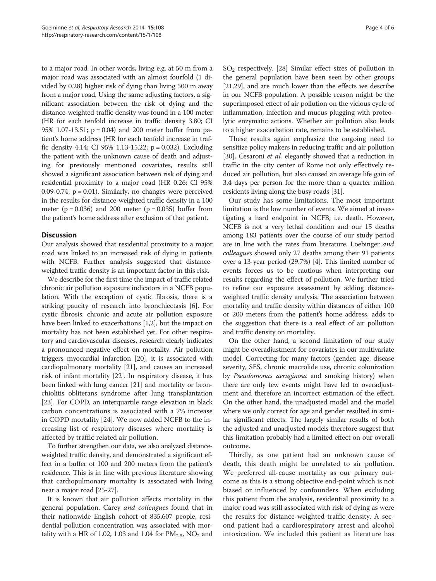to a major road. In other words, living e.g. at 50 m from a major road was associated with an almost fourfold (1 divided by 0.28) higher risk of dying than living 500 m away from a major road. Using the same adjusting factors, a significant association between the risk of dying and the distance-weighted traffic density was found in a 100 meter (HR for each tenfold increase in traffic density 3.80; CI 95% 1.07-13.51; p = 0.04) and 200 meter buffer from patient's home address (HR for each tenfold increase in traffic density 4.14; CI 95% 1.13-15.22; p = 0.032). Excluding the patient with the unknown cause of death and adjusting for previously mentioned covariates, results still showed a significant association between risk of dying and residential proximity to a major road (HR 0.26; CI 95% 0.09-0.74;  $p = 0.01$ ). Similarly, no changes were perceived in the results for distance-weighted traffic density in a 100 meter ( $p = 0.036$ ) and 200 meter ( $p = 0.035$ ) buffer from the patient's home address after exclusion of that patient.

## **Discussion**

Our analysis showed that residential proximity to a major road was linked to an increased risk of dying in patients with NCFB. Further analysis suggested that distanceweighted traffic density is an important factor in this risk.

We describe for the first time the impact of traffic related chronic air pollution exposure indicators in a NCFB population. With the exception of cystic fibrosis, there is a striking paucity of research into bronchiectasis [\[6\]](#page-4-0). For cystic fibrosis, chronic and acute air pollution exposure have been linked to exacerbations [\[1,2](#page-4-0)], but the impact on mortality has not been established yet. For other respiratory and cardiovascular diseases, research clearly indicates a pronounced negative effect on mortality. Air pollution triggers myocardial infarction [[20](#page-4-0)], it is associated with cardiopulmonary mortality [\[21](#page-4-0)], and causes an increased risk of infant mortality [[22](#page-4-0)]. In respiratory disease, it has been linked with lung cancer [[21](#page-4-0)] and mortality or bronchiolitis obliterans syndrome after lung transplantation [[23](#page-4-0)]. For COPD, an interquartile range elevation in black carbon concentrations is associated with a 7% increase in COPD mortality [\[24](#page-4-0)]. We now added NCFB to the increasing list of respiratory diseases where mortality is affected by traffic related air pollution.

To further strengthen our data, we also analyzed distanceweighted traffic density, and demonstrated a significant effect in a buffer of 100 and 200 meters from the patient's residence. This is in line with previous literature showing that cardiopulmonary mortality is associated with living near a major road [[25](#page-5-0)-[27](#page-5-0)].

It is known that air pollution affects mortality in the general population. Carey and colleagues found that in their nationwide English cohort of 835,607 people, residential pollution concentration was associated with mortality with a HR of 1.02, 1.03 and 1.04 for  $PM_{2.5}$ , NO<sub>2</sub> and

 $SO<sub>2</sub>$  respectively. [[28](#page-5-0)] Similar effect sizes of pollution in the general population have been seen by other groups [[21](#page-4-0),[29](#page-5-0)], and are much lower than the effects we describe in our NCFB population. A possible reason might be the superimposed effect of air pollution on the vicious cycle of inflammation, infection and mucus plugging with proteolytic enzymatic actions. Whether air pollution also leads to a higher exacerbation rate, remains to be established.

These results again emphasize the ongoing need to sensitize policy makers in reducing traffic and air pollution [[30](#page-5-0)]. Cesaroni et al. elegantly showed that a reduction in traffic in the city center of Rome not only effectively reduced air pollution, but also caused an average life gain of 3.4 days per person for the more than a quarter million residents living along the busy roads [\[31](#page-5-0)].

Our study has some limitations. The most important limitation is the low number of events. We aimed at investigating a hard endpoint in NCFB, i.e. death. However, NCFB is not a very lethal condition and our 15 deaths among 183 patients over the course of our study period are in line with the rates from literature. Loebinger and colleagues showed only 27 deaths among their 91 patients over a 13-year period (29.7%) [\[4](#page-4-0)]. This limited number of events forces us to be cautious when interpreting our results regarding the effect of pollution. We further tried to refine our exposure assessment by adding distanceweighted traffic density analysis. The association between mortality and traffic density within distances of either 100 or 200 meters from the patient's home address, adds to the suggestion that there is a real effect of air pollution and traffic density on mortality.

On the other hand, a second limitation of our study might be overadjustment for covariates in our multivariate model. Correcting for many factors (gender, age, disease severity, SES, chronic macrolide use, chronic colonization by Pseudomonas aeruginosa and smoking history) when there are only few events might have led to overadjustment and therefore an incorrect estimation of the effect. On the other hand, the unadjusted model and the model where we only correct for age and gender resulted in similar significant effects. The largely similar results of both the adjusted and unadjusted models therefore suggest that this limitation probably had a limited effect on our overall outcome.

Thirdly, as one patient had an unknown cause of death, this death might be unrelated to air pollution. We preferred all-cause mortality as our primary outcome as this is a strong objective end-point which is not biased or influenced by confounders. When excluding this patient from the analysis, residential proximity to a major road was still associated with risk of dying as were the results for distance-weighted traffic density. A second patient had a cardiorespiratory arrest and alcohol intoxication. We included this patient as literature has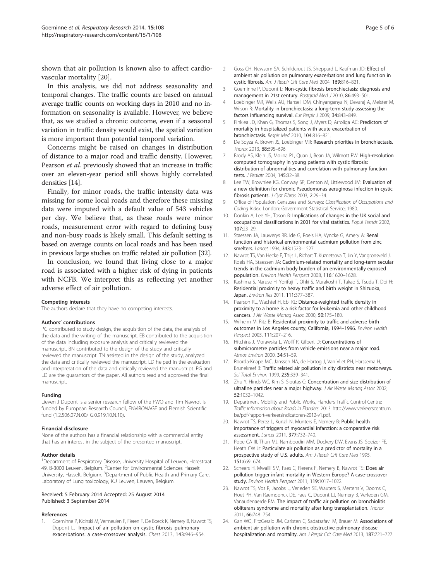<span id="page-4-0"></span>shown that air pollution is known also to affect cardiovascular mortality [20].

In this analysis, we did not address seasonality and temporal changes. The traffic counts are based on annual average traffic counts on working days in 2010 and no information on seasonality is available. However, we believe that, as we studied a chronic outcome, even if a seasonal variation in traffic density would exist, the spatial variation is more important than potential temporal variation.

Concerns might be raised on changes in distribution of distance to a major road and traffic density. However, Pearson et al. previously showed that an increase in traffic over an eleven-year period still shows highly correlated densities [14].

Finally, for minor roads, the traffic intensity data was missing for some local roads and therefore these missing data were imputed with a default value of 543 vehicles per day. We believe that, as these roads were minor roads, measurement error with regard to defining busy and non-busy roads is likely small. This default setting is based on average counts on local roads and has been used in previous large studies on traffic related air pollution [[32\]](#page-5-0).

In conclusion, we found that living close to a major road is associated with a higher risk of dying in patients with NCFB. We interpret this as reflecting yet another adverse effect of air pollution.

#### Competing interests

The authors declare that they have no competing interests.

#### Authors' contributions

PG contributed to study design, the acquisition of the data, the analysis of the data and the writing of the manuscript. EB contributed to the acquisition of the data including exposure analysis and critically reviewed the manuscript. BN contributed to the design of the study and critically reviewed the manuscript. TN assisted in the design of the study, analyzed the data and critically reviewed the manuscript. LD helped in the evaluation and interpretation of the data and critically reviewed the manuscript. PG and LD are the guarantors of the paper. All authors read and approved the final manuscript.

#### Funding

Lieven J Dupont is a senior research fellow of the FWO and Tim Nawrot is funded by European Research Council, ENVIRONAGE and Flemish Scientific fund (1.2.506.07.N.00/ G.0.919.10.N.10).

#### Financial disclosure

None of the authors has a financial relationship with a commercial entity that has an interest in the subject of the presented manuscript.

#### Author details

<sup>1</sup>Department of Respiratory Disease, University Hospital of Leuven, Herestraat 49, B-3000 Leuven, Belgium. <sup>2</sup>Center for Environmental Sciences Hasselt University, Hasselt, Belgium. <sup>3</sup>Department of Public Health and Primary Care, Laboratory of Lung toxicology, KU Leuven, Leuven, Belgium.

#### Received: 5 February 2014 Accepted: 25 August 2014 Published: 3 September 2014

#### References

1. Goeminne P, Kicinski M, Vermeulen F, Fieren F, De Boeck K, Nemery B, Nawrot TS, Dupont LJ: Impact of air pollution on cystic fibrosis pulmonary exacerbations: a case-crossover analysis. Chest 2013, 143:946–954.

- 2. Goss CH, Newsom SA, Schildcrout JS, Sheppard L, Kaufman JD: Effect of ambient air pollution on pulmonary exacerbations and lung function in cystic fibrosis. Am J Respir Crit Care Med 2004, 169:816–821.
- 3. Goeminne P, Dupont L: Non-cystic fibrosis bronchiectasis: diagnosis and management in 21st century. Postgrad Med J 2010, 86:493–501.
- 4. Loebinger MR, Wells AU, Hansell DM, Chinyanganya N, Devaraj A, Meister M, Wilson R: Mortality in bronchiectasis: a long-term study assessing the factors influencing survival. Eur Respir J 2009, 34:843–849.
- 5. Finklea JD, Khan G, Thomas S, Song J, Myers D, Arroliga AC: Predictors of mortality in hospitalized patients with acute exacerbation of bronchiectasis. Respir Med 2010, 104:816–821.
- 6. De Soyza A, Brown JS, Loebinger MR: Research priorities in bronchiectasis. Thorax 2013, 68:695–696.
- 7. Brody AS, Klein JS, Molina PL, Quan J, Bean JA, Wilmott RW: High-resolution computed tomography in young patients with cystic fibrosis: distribution of abnormalities and correlation with pulmonary function tests. J Pediatr 2004, 145:32–38.
- 8. Lee TW, Brownlee KG, Conway SP, Denton M, Littlewood JM: Evaluation of a new definition for chronic Pseudomonas aeruginosa infection in cystic fibrosis patients. J Cyst Fibros 2003, 2:29–34.
- 9. Office of Population Censuses and Surveys: Classification of Occupations and Coding Index. London: Government Statistical Service; 1980.
- 10. Donkin A, Lee YH, Toson B: Implications of changes in the UK social and occupational classifications in 2001 for vital statistics. Popul Trends 2002, 107:23–29.
- 11. Staessen JA, Lauwerys RR, Ide G, Roels HA, Vyncke G, Amery A: Renal function and historical environmental cadmium pollution from zinc smelters. Lancet 1994, 343:1523–1527.
- 12. Nawrot TS, Van Hecke E, Thijs L, Richart T, Kuznetsova T, Jin Y, Vangronsveld J, Roels HA, Staessen JA: Cadmium-related mortality and long-term secular trends in the cadmium body burden of an environmentally exposed population. Environ Health Perspect 2008, 116:1620–1628.
- 13. Kashima S, Naruse H, Yorifuji T, Ohki S, Murakoshi T, Takao S, Tsuda T, Doi H: Residential proximity to heavy traffic and birth weight in Shizuoka, Japan. Environ Res 2011, 111:377–387.
- 14. Pearson RL, Wachtel H, Ebi KL: Distance-weighted traffic density in proximity to a home is a risk factor for leukemia and other childhood cancers. J Air Waste Manag Assoc 2000, 50:175-180.
- 15. Wilhelm M, Ritz B: Residential proximity to traffic and adverse birth outcomes in Los Angeles county, California, 1994–1996. Environ Health Perspect 2003, 111:207–216.
- 16. Hitchins J, Morawska L, Wolff R, Gilbert D: Concentrations of submicrometre particles from vehicle emissions near a major road. Atmos Environ 2000, 34:51–59.
- 17. Roorda-Knape MC, Janssen NA, de Hartog J, Van Vliet PH, Harssema H, Brunekreef B: Traffic related air pollution in city districts near motorways. Sci Total Environ 1999, 235:339–341.
- 18. Zhu Y, Hinds WC, Kim S, Sioutas C: Concentration and size distribution of ultrafine particles near a major highway. J Air Waste Manag Assoc 2002, 52:1032–1042.
- 19. Department Mobility and Public Works, Flanders Traffic Control Centre: Traffic Information about Roads in Flanders. 2013. [http://www.verkeerscentrum.](http://www.verkeerscentrum.be/pdf/rapport-verkeersindicatoren-2012-v1.pdf) [be/pdf/rapport-verkeersindicatoren-2012-v1.pdf.](http://www.verkeerscentrum.be/pdf/rapport-verkeersindicatoren-2012-v1.pdf)
- 20. Nawrot TS, Perez L, Kunzli N, Munters E, Nemery B: Public health importance of triggers of myocardial infarction: a comparative risk assessment. Lancet 2011, 377:732–740.
- 21. Pope CA III, Thun MJ, Namboodiri MM, Dockery DW, Evans JS, Speizer FE, Heath CW Jr: Particulate air pollution as a predictor of mortality in a prospective study of U.S. adults. Am J Respir Crit Care Med 1995, 151:669–674.
- 22. Scheers H, Mwalili SM, Faes C, Fierens F, Nemery B, Nawrot TS: Does air pollution trigger infant mortality in Western Europe? A case-crossover study. Environ Health Perspect 2011, 119:1017-1022.
- 23. Nawrot TS, Vos R, Jacobs L, Verleden SE, Wauters S, Mertens V, Dooms C, Hoet PH, Van Raemdonck DE, Faes C, Dupont LJ, Nemery B, Verleden GM, Vanaudenaerde BM: The impact of traffic air pollution on bronchiolitis obliterans syndrome and mortality after lung transplantation. Thorax 2011, 66:748–754.
- 24. Gan WQ, FitzGerald JM, Carlsten C, Sadatsafavi M, Brauer M: Associations of ambient air pollution with chronic obstructive pulmonary disease hospitalization and mortality. Am J Respir Crit Care Med 2013, 187:721-727.